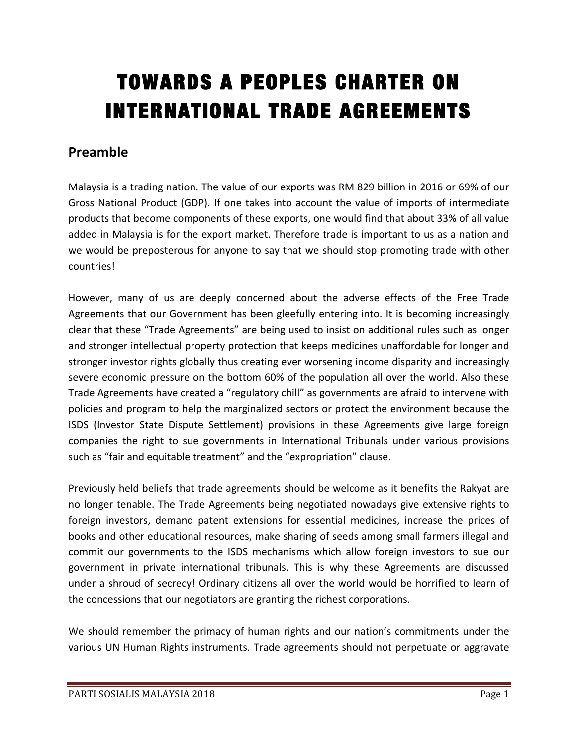# TOWARDS A PEOPLES CHARTER ON INTERNATIONAL TRADE AGREEMENTS

# **Preamble**

Malaysia is a trading nation. The value of our exports was RM 829 billion in 2016 or 69% of our Gross National Product (GDP). If one takes into account the value of imports of intermediate products that become components of these exports, one would find that about 33% of all value added in Malaysia is for the export market. Therefore trade is important to us as a nation and we would be preposterous for anyone to say that we should stop promoting trade with other countries!

However, many of us are deeply concerned about the adverse effects of the Free Trade Agreements that our Government has been gleefully entering into. It is becoming increasingly clear that these "Trade Agreements" are being used to insist on additional rules such as longer and stronger intellectual property protection that keeps medicines unaffordable for longer and stronger investor rights globally thus creating ever worsening income disparity and increasingly severe economic pressure on the bottom 60% of the population all over the world. Also these Trade Agreements have created a "regulatory chill" as governments are afraid to intervene with policies and program to help the marginalized sectors or protect the environment because the ISDS (Investor State Dispute Settlement) provisions in these Agreements give large foreign companies the right to sue governments in International Tribunals under various provisions such as "fair and equitable treatment" and the "expropriation" clause.

Previously held beliefs that trade agreements should be welcome as it benefits the Rakyat are no longer tenable. The Trade Agreements being negotiated nowadays give extensive rights to foreign investors, demand patent extensions for essential medicines, increase the prices of books and other educational resources, make sharing of seeds among small farmers illegal and commit our governments to the ISDS mechanisms which allow foreign investors to sue our government in private international tribunals. This is why these Agreements are discussed under a shroud of secrecy! Ordinary citizens all over the world would be horrified to learn of the concessions that our negotiators are granting the richest corporations.

We should remember the primacy of human rights and our nation's commitments under the various UN Human Rights instruments. Trade agreements should not perpetuate or aggravate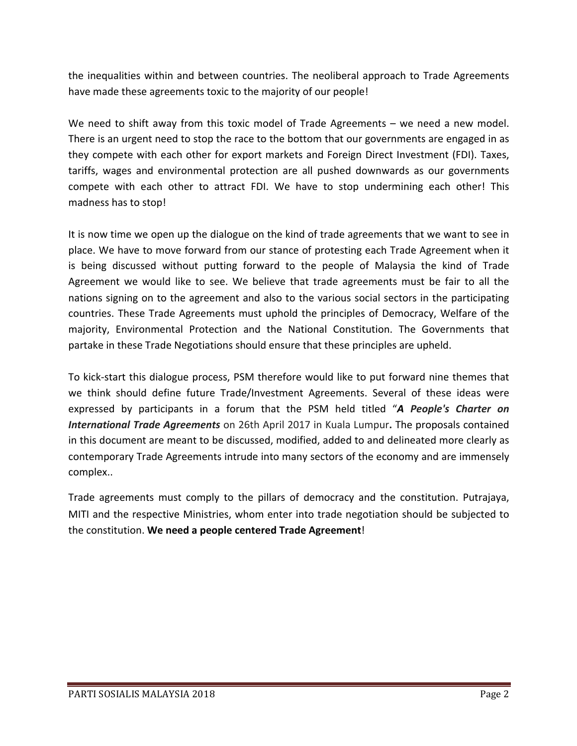the inequalities within and between countries. The neoliberal approach to Trade Agreements have made these agreements toxic to the majority of our people!

We need to shift away from this toxic model of Trade Agreements  $-$  we need a new model. There is an urgent need to stop the race to the bottom that our governments are engaged in as they compete with each other for export markets and Foreign Direct Investment (FDI). Taxes, tariffs, wages and environmental protection are all pushed downwards as our governments compete with each other to attract FDI. We have to stop undermining each other! This madness has to stop!

It is now time we open up the dialogue on the kind of trade agreements that we want to see in place. We have to move forward from our stance of protesting each Trade Agreement when it is being discussed without putting forward to the people of Malaysia the kind of Trade Agreement we would like to see. We believe that trade agreements must be fair to all the nations signing on to the agreement and also to the various social sectors in the participating countries. These Trade Agreements must uphold the principles of Democracy, Welfare of the majority, Environmental Protection and the National Constitution. The Governments that partake in these Trade Negotiations should ensure that these principles are upheld.

To kick-start this dialogue process, PSM therefore would like to put forward nine themes that we think should define future Trade/Investment Agreements. Several of these ideas were expressed by participants in a forum that the PSM held titled "A People's Charter on **International Trade Agreements** on 26th April 2017 in Kuala Lumpur. The proposals contained in this document are meant to be discussed, modified, added to and delineated more clearly as contemporary Trade Agreements intrude into many sectors of the economy and are immensely complex..

Trade agreements must comply to the pillars of democracy and the constitution. Putrajaya, MITI and the respective Ministries, whom enter into trade negotiation should be subjected to the constitution. We need a people centered Trade Agreement!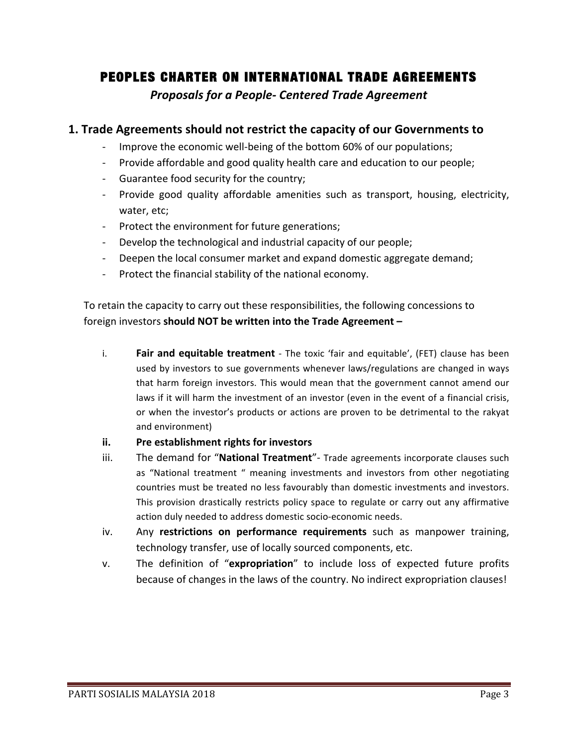# PEOPLES CHARTER ON INTERNATIONAL TRADE AGREEMENTS

*Proposals for a People- Centered Trade Agreement*

### **1. Trade Agreements should not restrict the capacity of our Governments to**

- Improve the economic well-being of the bottom 60% of our populations;
- Provide affordable and good quality health care and education to our people;
- Guarantee food security for the country;
- Provide good quality affordable amenities such as transport, housing, electricity, water, etc;
- Protect the environment for future generations;
- Develop the technological and industrial capacity of our people;
- Deepen the local consumer market and expand domestic aggregate demand;
- Protect the financial stability of the national economy.

To retain the capacity to carry out these responsibilities, the following concessions to foreign investors **should NOT** be written into the Trade Agreement -

- i. **Fair and equitable treatment** The toxic 'fair and equitable', (FET) clause has been used by investors to sue governments whenever laws/regulations are changed in ways that harm foreign investors. This would mean that the government cannot amend our laws if it will harm the investment of an investor (even in the event of a financial crisis, or when the investor's products or actions are proven to be detrimental to the rakyat and environment)
- **ii.** Pre establishment rights for investors
- iii. The demand for "National Treatment"- Trade agreements incorporate clauses such as "National treatment " meaning investments and investors from other negotiating countries must be treated no less favourably than domestic investments and investors. This provision drastically restricts policy space to regulate or carry out any affirmative action duly needed to address domestic socio-economic needs.
- iv. Any **restrictions on performance requirements** such as manpower training, technology transfer, use of locally sourced components, etc.
- v. The definition of "expropriation" to include loss of expected future profits because of changes in the laws of the country. No indirect expropriation clauses!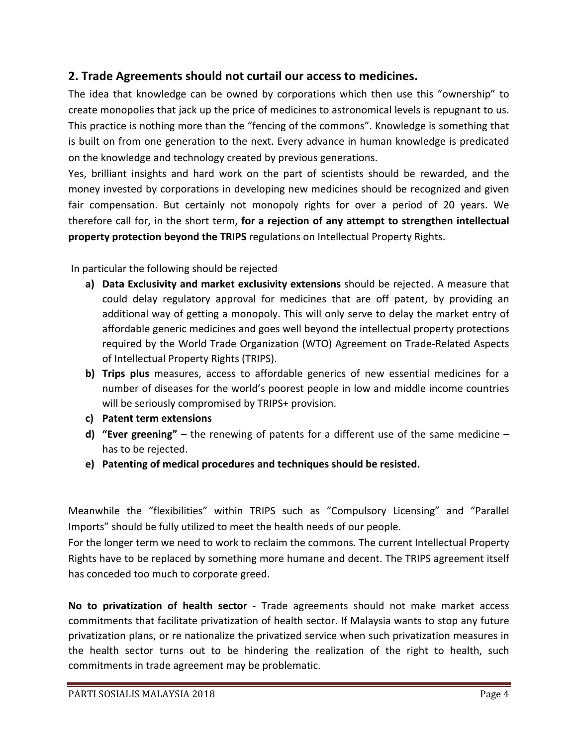## **2.** Trade Agreements should not curtail our access to medicines.

The idea that knowledge can be owned by corporations which then use this "ownership" to create monopolies that jack up the price of medicines to astronomical levels is repugnant to us. This practice is nothing more than the "fencing of the commons". Knowledge is something that is built on from one generation to the next. Every advance in human knowledge is predicated on the knowledge and technology created by previous generations.

Yes, brilliant insights and hard work on the part of scientists should be rewarded, and the money invested by corporations in developing new medicines should be recognized and given fair compensation. But certainly not monopoly rights for over a period of 20 years. We therefore call for, in the short term, for a rejection of any attempt to strengthen intellectual **property protection beyond the TRIPS** regulations on Intellectual Property Rights.

In particular the following should be rejected

- **a)** Data Exclusivity and market exclusivity extensions should be rejected. A measure that could delay regulatory approval for medicines that are off patent, by providing an additional way of getting a monopoly. This will only serve to delay the market entry of affordable generic medicines and goes well beyond the intellectual property protections required by the World Trade Organization (WTO) Agreement on Trade-Related Aspects of Intellectual Property Rights (TRIPS).
- **b) Trips plus** measures, access to affordable generics of new essential medicines for a number of diseases for the world's poorest people in low and middle income countries will be seriously compromised by TRIPS+ provision.
- **c) Patent term extensions**
- **d)** "Ever greening" the renewing of patents for a different use of the same medicine has to be rejected.
- **e)** Patenting of medical procedures and techniques should be resisted.

Meanwhile the "flexibilities" within TRIPS such as "Compulsory Licensing" and "Parallel Imports" should be fully utilized to meet the health needs of our people.

For the longer term we need to work to reclaim the commons. The current Intellectual Property Rights have to be replaced by something more humane and decent. The TRIPS agreement itself has conceded too much to corporate greed.

**No to privatization of health sector** - Trade agreements should not make market access commitments that facilitate privatization of health sector. If Malaysia wants to stop any future privatization plans, or re nationalize the privatized service when such privatization measures in the health sector turns out to be hindering the realization of the right to health, such commitments in trade agreement may be problematic.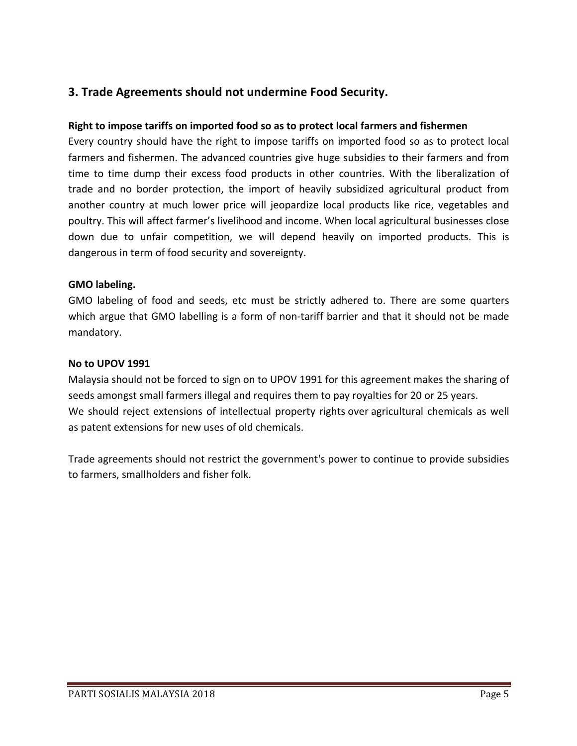## **3. Trade Agreements should not undermine Food Security.**

#### **Right to impose tariffs on imported food so as to protect local farmers and fishermen**

Every country should have the right to impose tariffs on imported food so as to protect local farmers and fishermen. The advanced countries give huge subsidies to their farmers and from time to time dump their excess food products in other countries. With the liberalization of trade and no border protection, the import of heavily subsidized agricultural product from another country at much lower price will jeopardize local products like rice, vegetables and poultry. This will affect farmer's livelihood and income. When local agricultural businesses close down due to unfair competition, we will depend heavily on imported products. This is dangerous in term of food security and sovereignty.

#### **GMO labeling.**

GMO labeling of food and seeds, etc must be strictly adhered to. There are some quarters which argue that GMO labelling is a form of non-tariff barrier and that it should not be made mandatory.

#### **No to UPOV 1991**

Malaysia should not be forced to sign on to UPOV 1991 for this agreement makes the sharing of seeds amongst small farmers illegal and requires them to pay royalties for 20 or 25 years. We should reject extensions of intellectual property rights over agricultural chemicals as well as patent extensions for new uses of old chemicals.

Trade agreements should not restrict the government's power to continue to provide subsidies to farmers, smallholders and fisher folk.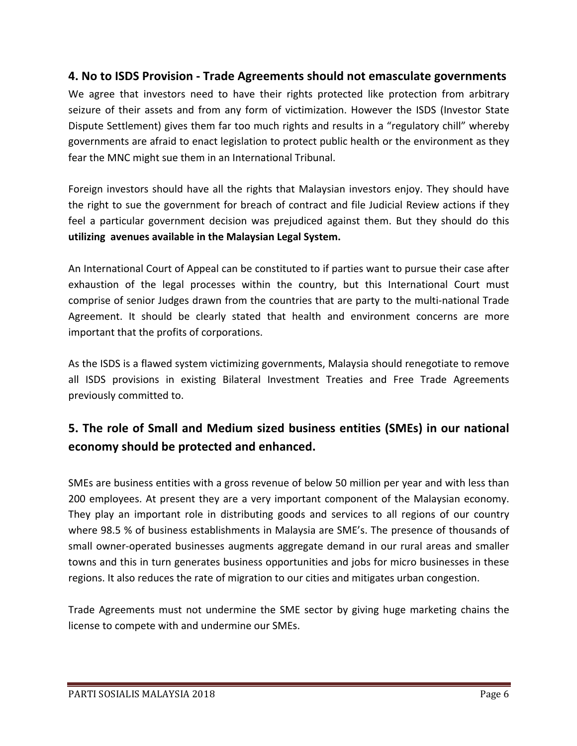## **4.** No to ISDS Provision - Trade Agreements should not emasculate governments

We agree that investors need to have their rights protected like protection from arbitrary seizure of their assets and from any form of victimization. However the ISDS (Investor State Dispute Settlement) gives them far too much rights and results in a "regulatory chill" whereby governments are afraid to enact legislation to protect public health or the environment as they fear the MNC might sue them in an International Tribunal.

Foreign investors should have all the rights that Malaysian investors enjoy. They should have the right to sue the government for breach of contract and file Judicial Review actions if they feel a particular government decision was prejudiced against them. But they should do this **utilizing avenues available in the Malaysian Legal System.**

An International Court of Appeal can be constituted to if parties want to pursue their case after exhaustion of the legal processes within the country, but this International Court must comprise of senior Judges drawn from the countries that are party to the multi-national Trade Agreement. It should be clearly stated that health and environment concerns are more important that the profits of corporations.

As the ISDS is a flawed system victimizing governments, Malaysia should renegotiate to remove all ISDS provisions in existing Bilateral Investment Treaties and Free Trade Agreements previously committed to.

# **5.** The role of Small and Medium sized business entities (SMEs) in our national **economy should be protected and enhanced.**

SMEs are business entities with a gross revenue of below 50 million per year and with less than 200 employees. At present they are a very important component of the Malaysian economy. They play an important role in distributing goods and services to all regions of our country where 98.5 % of business establishments in Malaysia are SME's. The presence of thousands of small owner-operated businesses augments aggregate demand in our rural areas and smaller towns and this in turn generates business opportunities and jobs for micro businesses in these regions. It also reduces the rate of migration to our cities and mitigates urban congestion.

Trade Agreements must not undermine the SME sector by giving huge marketing chains the license to compete with and undermine our SMEs.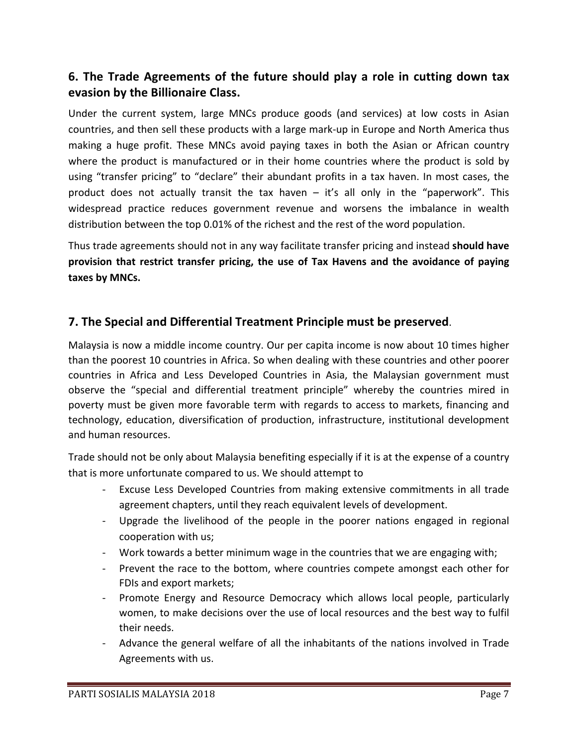## **6.** The Trade Agreements of the future should play a role in cutting down tax **evasion by the Billionaire Class.**

Under the current system, large MNCs produce goods (and services) at low costs in Asian countries, and then sell these products with a large mark-up in Europe and North America thus making a huge profit. These MNCs avoid paying taxes in both the Asian or African country where the product is manufactured or in their home countries where the product is sold by using "transfer pricing" to "declare" their abundant profits in a tax haven. In most cases, the product does not actually transit the tax haven  $-$  it's all only in the "paperwork". This widespread practice reduces government revenue and worsens the imbalance in wealth distribution between the top 0.01% of the richest and the rest of the word population.

Thus trade agreements should not in any way facilitate transfer pricing and instead **should have** provision that restrict transfer pricing, the use of Tax Havens and the avoidance of paying taxes by MNCs.

## **7.** The Special and Differential Treatment Principle must be preserved.

Malaysia is now a middle income country. Our per capita income is now about 10 times higher than the poorest 10 countries in Africa. So when dealing with these countries and other poorer countries in Africa and Less Developed Countries in Asia, the Malaysian government must observe the "special and differential treatment principle" whereby the countries mired in poverty must be given more favorable term with regards to access to markets, financing and technology, education, diversification of production, infrastructure, institutional development and human resources.

Trade should not be only about Malaysia benefiting especially if it is at the expense of a country that is more unfortunate compared to us. We should attempt to

- Excuse Less Developed Countries from making extensive commitments in all trade agreement chapters, until they reach equivalent levels of development.
- Upgrade the livelihood of the people in the poorer nations engaged in regional cooperation with us;
- Work towards a better minimum wage in the countries that we are engaging with;
- Prevent the race to the bottom, where countries compete amongst each other for FDIs and export markets;
- Promote Energy and Resource Democracy which allows local people, particularly women, to make decisions over the use of local resources and the best way to fulfil their needs.
- Advance the general welfare of all the inhabitants of the nations involved in Trade Agreements with us.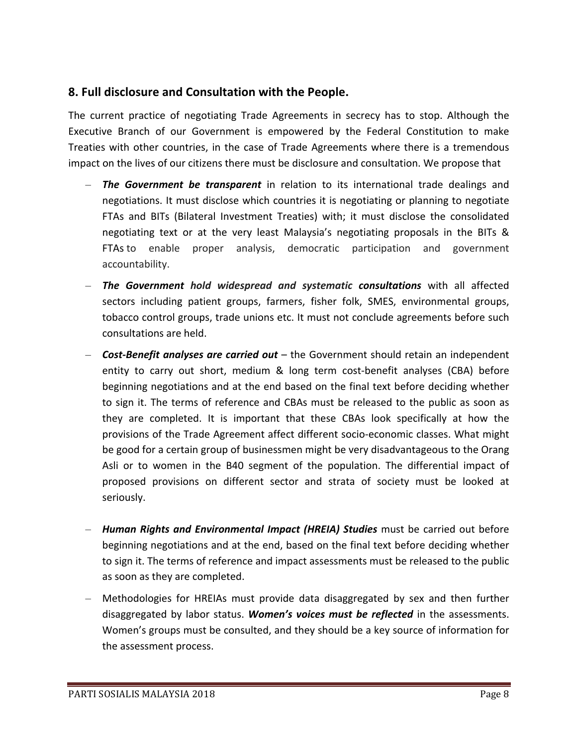## **8. Full disclosure and Consultation with the People.**

The current practice of negotiating Trade Agreements in secrecy has to stop. Although the Executive Branch of our Government is empowered by the Federal Constitution to make Treaties with other countries, in the case of Trade Agreements where there is a tremendous impact on the lives of our citizens there must be disclosure and consultation. We propose that

- $-$  The Government be transparent in relation to its international trade dealings and negotiations. It must disclose which countries it is negotiating or planning to negotiate FTAs and BITs (Bilateral Investment Treaties) with; it must disclose the consolidated negotiating text or at the very least Malaysia's negotiating proposals in the BITs & FTAs to enable proper analysis, democratic participation and government accountability.
- *The Government hold widespread and systematic consultations* with all affected sectors including patient groups, farmers, fisher folk, SMES, environmental groups, tobacco control groups, trade unions etc. It must not conclude agreements before such consultations are held.
- **Cost-Benefit analyses are carried out** the Government should retain an independent entity to carry out short, medium & long term cost-benefit analyses (CBA) before beginning negotiations and at the end based on the final text before deciding whether to sign it. The terms of reference and CBAs must be released to the public as soon as they are completed. It is important that these CBAs look specifically at how the provisions of the Trade Agreement affect different socio-economic classes. What might be good for a certain group of businessmen might be very disadvantageous to the Orang Asli or to women in the B40 segment of the population. The differential impact of proposed provisions on different sector and strata of society must be looked at seriously.
- $-$  *Human Rights and Environmental Impact (HREIA) Studies* must be carried out before beginning negotiations and at the end, based on the final text before deciding whether to sign it. The terms of reference and impact assessments must be released to the public as soon as they are completed.
- $-$  Methodologies for HREIAs must provide data disaggregated by sex and then further disaggregated by labor status. *Women's voices must be reflected* in the assessments. Women's groups must be consulted, and they should be a key source of information for the assessment process.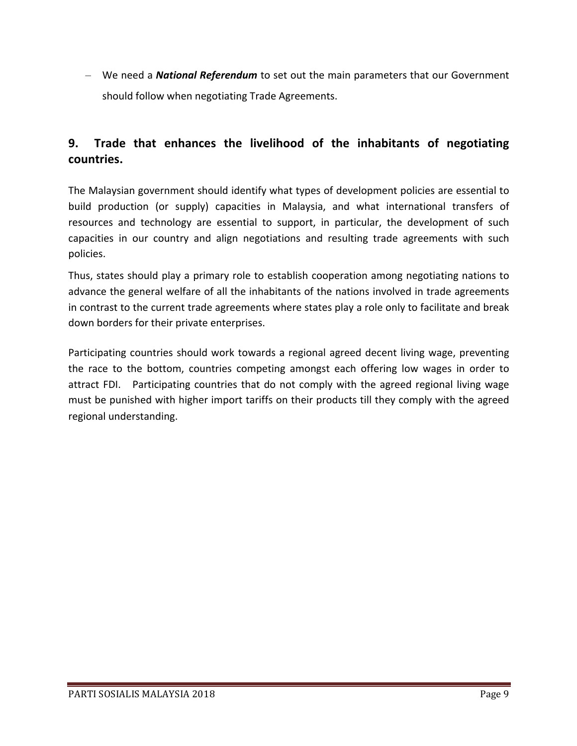– We need a *National Referendum* to set out the main parameters that our Government should follow when negotiating Trade Agreements.

# **9.** Trade that enhances the livelihood of the inhabitants of negotiating **countries.**

The Malaysian government should identify what types of development policies are essential to build production (or supply) capacities in Malaysia, and what international transfers of resources and technology are essential to support, in particular, the development of such capacities in our country and align negotiations and resulting trade agreements with such policies. 

Thus, states should play a primary role to establish cooperation among negotiating nations to advance the general welfare of all the inhabitants of the nations involved in trade agreements in contrast to the current trade agreements where states play a role only to facilitate and break down borders for their private enterprises.

Participating countries should work towards a regional agreed decent living wage, preventing the race to the bottom, countries competing amongst each offering low wages in order to attract FDI. Participating countries that do not comply with the agreed regional living wage must be punished with higher import tariffs on their products till they comply with the agreed regional understanding.